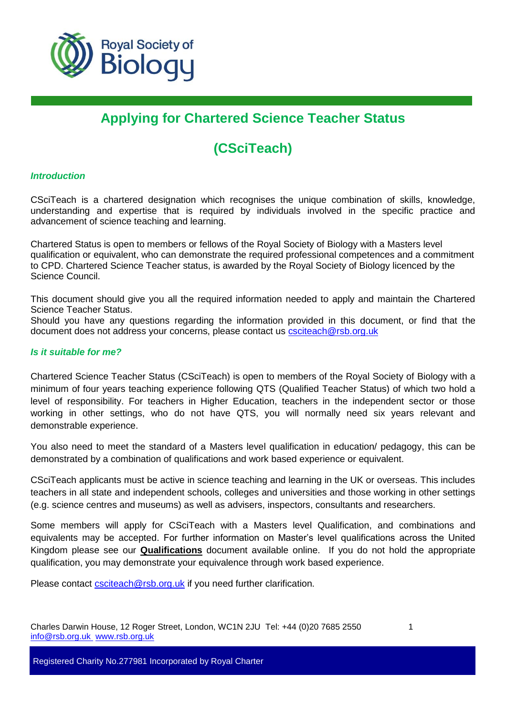

# **Applying for Chartered Science Teacher Status**

# **(CSciTeach)**

### *Introduction*

CSciTeach is a chartered designation which recognises the unique combination of skills, knowledge, understanding and expertise that is required by individuals involved in the specific practice and advancement of science teaching and learning.

Chartered Status is open to members or fellows of the Royal Society of Biology with a Masters level qualification or equivalent, who can demonstrate the required professional competences and a commitment to CPD. Chartered Science Teacher status, is awarded by the Royal Society of Biology licenced by the Science Council.

This document should give you all the required information needed to apply and maintain the Chartered Science Teacher Status.

Should you have any questions regarding the information provided in this document, or find that the document does not address your concerns, please contact us [csciteach@rsb.org.uk](mailto:csciteach@rsb.org.uk)

## *Is it suitable for me?*

Chartered Science Teacher Status (CSciTeach) is open to members of the Royal Society of Biology with a minimum of four years teaching experience following QTS (Qualified Teacher Status) of which two hold a level of responsibility. For teachers in Higher Education, teachers in the independent sector or those working in other settings, who do not have QTS, you will normally need six years relevant and demonstrable experience.

You also need to meet the standard of a Masters level qualification in education/ pedagogy, this can be demonstrated by a combination of qualifications and work based experience or equivalent.

CSciTeach applicants must be active in science teaching and learning in the UK or overseas. This includes teachers in all state and independent schools, colleges and universities and those working in other settings (e.g. science centres and museums) as well as advisers, inspectors, consultants and researchers.

Some members will apply for CSciTeach with a Masters level Qualification, and combinations and equivalents may be accepted. For further information on Master's level qualifications across the United Kingdom please see our **Qualifications** document available online. If you do not hold the appropriate qualification, you may demonstrate your equivalence through work based experience.

Please contact [csciteach@rsb.org.uk](mailto:csciteach@rsb.org.uk) if you need further clarification.

Charles Darwin House, 12 Roger Street, London, WC1N 2JU Tel: +44 (0)20 7685 2550 1 [info@rsb.org.uk](mailto:info@rsb.org.uk) [www.rsb.org.uk](http://www.rsb.org.uk/)

Registered Charity No.277981 Incorporated by Royal Charter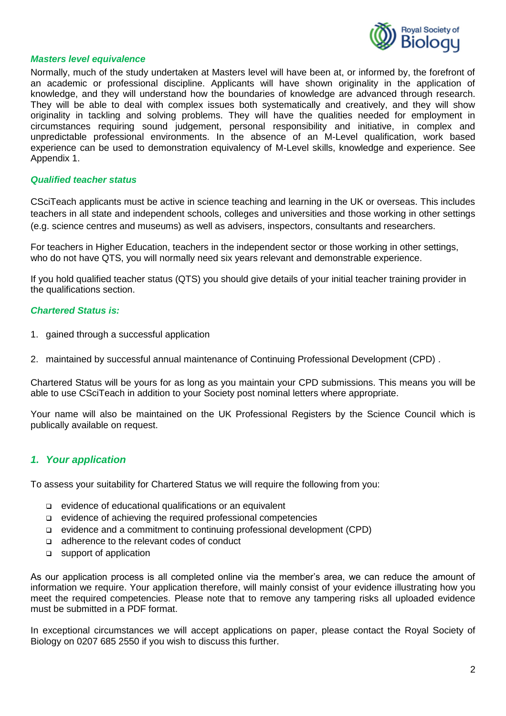

#### *Masters level equivalence*

Normally, much of the study undertaken at Masters level will have been at, or informed by, the forefront of an academic or professional discipline. Applicants will have shown originality in the application of knowledge, and they will understand how the boundaries of knowledge are advanced through research. They will be able to deal with complex issues both systematically and creatively, and they will show originality in tackling and solving problems. They will have the qualities needed for employment in circumstances requiring sound judgement, personal responsibility and initiative, in complex and unpredictable professional environments. In the absence of an M-Level qualification, work based experience can be used to demonstration equivalency of M-Level skills, knowledge and experience. See Appendix 1.

#### *Qualified teacher status*

CSciTeach applicants must be active in science teaching and learning in the UK or overseas. This includes teachers in all state and independent schools, colleges and universities and those working in other settings (e.g. science centres and museums) as well as advisers, inspectors, consultants and researchers.

For teachers in Higher Education, teachers in the independent sector or those working in other settings, who do not have QTS, you will normally need six years relevant and demonstrable experience.

If you hold qualified teacher status (QTS) you should give details of your initial teacher training provider in the qualifications section.

### *Chartered Status is:*

- 1. gained through a successful application
- 2. maintained by successful annual maintenance of Continuing Professional Development (CPD) .

Chartered Status will be yours for as long as you maintain your CPD submissions. This means you will be able to use CSciTeach in addition to your Society post nominal letters where appropriate.

Your name will also be maintained on the UK Professional Registers by the Science Council which is publically available on request.

## *1. Your application*

To assess your suitability for Chartered Status we will require the following from you:

- evidence of educational qualifications or an equivalent
- evidence of achieving the required professional competencies
- evidence and a commitment to continuing professional development (CPD)
- $\Box$  adherence to the relevant codes of conduct
- □ support of application

As our application process is all completed online via the member's area, we can reduce the amount of information we require. Your application therefore, will mainly consist of your evidence illustrating how you meet the required competencies. Please note that to remove any tampering risks all uploaded evidence must be submitted in a PDF format.

In exceptional circumstances we will accept applications on paper, please contact the Royal Society of Biology on 0207 685 2550 if you wish to discuss this further.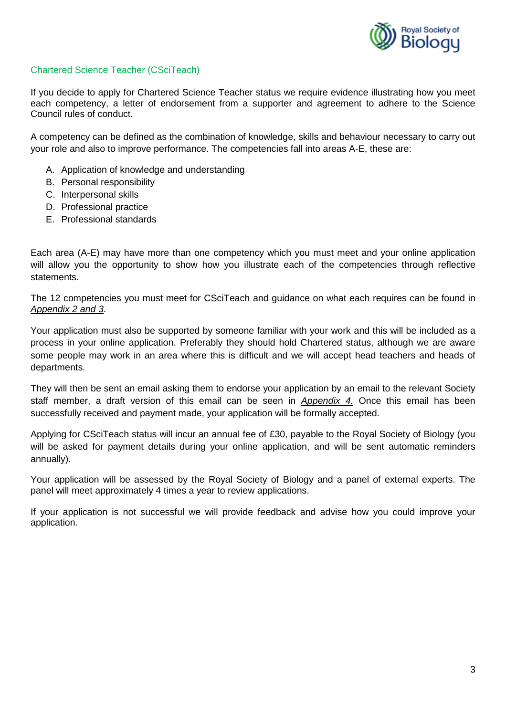

## Chartered Science Teacher (CSciTeach)

If you decide to apply for Chartered Science Teacher status we require evidence illustrating how you meet each competency, a letter of endorsement from a supporter and agreement to adhere to the Science Council rules of conduct.

A competency can be defined as the combination of knowledge, skills and behaviour necessary to carry out your role and also to improve performance. The competencies fall into areas A-E, these are:

- A. Application of knowledge and understanding
- B. Personal responsibility
- C. Interpersonal skills
- D. Professional practice
- E. Professional standards

Each area (A-E) may have more than one competency which you must meet and your online application will allow you the opportunity to show how you illustrate each of the competencies through reflective statements.

The 12 competencies you must meet for CSciTeach and guidance on what each requires can be found in *Appendix 2 and 3*.

Your application must also be supported by someone familiar with your work and this will be included as a process in your online application. Preferably they should hold Chartered status, although we are aware some people may work in an area where this is difficult and we will accept head teachers and heads of departments.

They will then be sent an email asking them to endorse your application by an email to the relevant Society staff member, a draft version of this email can be seen in *Appendix 4.* Once this email has been successfully received and payment made, your application will be formally accepted.

Applying for CSciTeach status will incur an annual fee of £30, payable to the Royal Society of Biology (you will be asked for payment details during your online application, and will be sent automatic reminders annually).

Your application will be assessed by the Royal Society of Biology and a panel of external experts. The panel will meet approximately 4 times a year to review applications.

If your application is not successful we will provide feedback and advise how you could improve your application.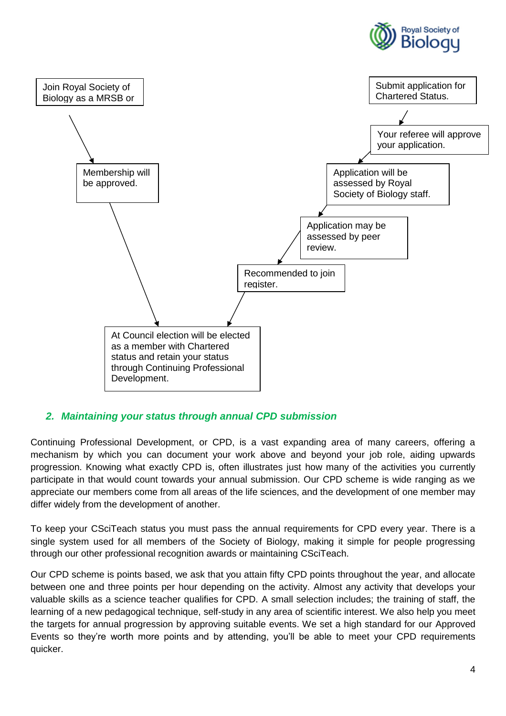



## *2. Maintaining your status through annual CPD submission*

Continuing Professional Development, or CPD, is a vast expanding area of many careers, offering a mechanism by which you can document your work above and beyond your job role, aiding upwards progression. Knowing what exactly CPD is, often illustrates just how many of the activities you currently participate in that would count towards your annual submission. Our CPD scheme is wide ranging as we appreciate our members come from all areas of the life sciences, and the development of one member may differ widely from the development of another.

To keep your CSciTeach status you must pass the annual requirements for CPD every year. There is a single system used for all members of the Society of Biology, making it simple for people progressing through our other professional recognition awards or maintaining CSciTeach.

Our CPD scheme is points based, we ask that you attain fifty CPD points throughout the year, and allocate between one and three points per hour depending on the activity. Almost any activity that develops your valuable skills as a science teacher qualifies for CPD. A small selection includes; the training of staff, the learning of a new pedagogical technique, self-study in any area of scientific interest. We also help you meet the targets for annual progression by approving suitable events. We set a high standard for our Approved Events so they're worth more points and by attending, you'll be able to meet your CPD requirements quicker.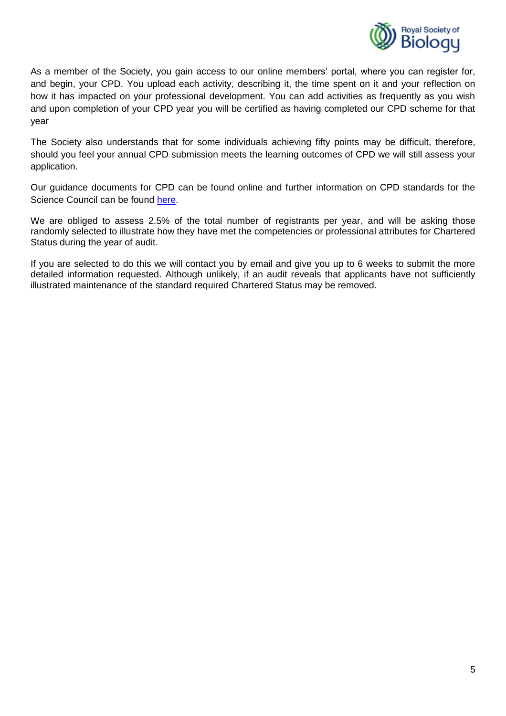

As a member of the Society, you gain access to our online members' portal, where you can register for, and begin, your CPD. You upload each activity, describing it, the time spent on it and your reflection on how it has impacted on your professional development. You can add activities as frequently as you wish and upon completion of your CPD year you will be certified as having completed our CPD scheme for that year

The Society also understands that for some individuals achieving fifty points may be difficult, therefore, should you feel your annual CPD submission meets the learning outcomes of CPD we will still assess your application.

Our guidance documents for CPD can be found online and further information on CPD standards for the Science Council can be found [here.](http://www.charteredscientist.org/about-csci/csci-teach)

We are obliged to assess 2.5% of the total number of registrants per year, and will be asking those randomly selected to illustrate how they have met the competencies or professional attributes for Chartered Status during the year of audit.

If you are selected to do this we will contact you by email and give you up to 6 weeks to submit the more detailed information requested. Although unlikely, if an audit reveals that applicants have not sufficiently illustrated maintenance of the standard required Chartered Status may be removed.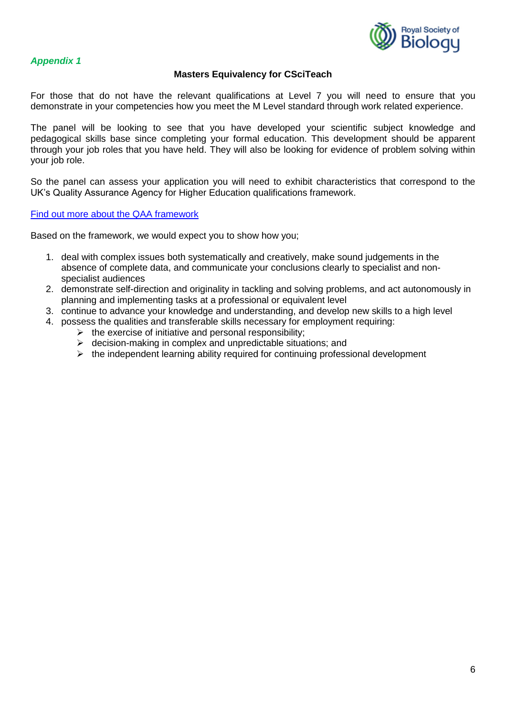

## **Masters Equivalency for CSciTeach**

For those that do not have the relevant qualifications at Level 7 you will need to ensure that you demonstrate in your competencies how you meet the M Level standard through work related experience.

The panel will be looking to see that you have developed your scientific subject knowledge and pedagogical skills base since completing your formal education. This development should be apparent through your job roles that you have held. They will also be looking for evidence of problem solving within your job role.

So the panel can assess your application you will need to exhibit characteristics that correspond to the UK's Quality Assurance Agency for Higher Education qualifications framework.

#### [Find out more about the QAA framework](http://www.qaa.ac.uk/en/AssuringStandardsAndQuality/Documents/Masters-Degree-Characteristics-2010.pdf)

Based on the framework, we would expect you to show how you;

- 1. deal with complex issues both systematically and creatively, make sound judgements in the absence of complete data, and communicate your conclusions clearly to specialist and nonspecialist audiences
- 2. demonstrate self-direction and originality in tackling and solving problems, and act autonomously in planning and implementing tasks at a professional or equivalent level
- 3. continue to advance your knowledge and understanding, and develop new skills to a high level
- 4. possess the qualities and transferable skills necessary for employment requiring:
	- $\triangleright$  the exercise of initiative and personal responsibility;
	- $\triangleright$  decision-making in complex and unpredictable situations; and
	- $\triangleright$  the independent learning ability required for continuing professional development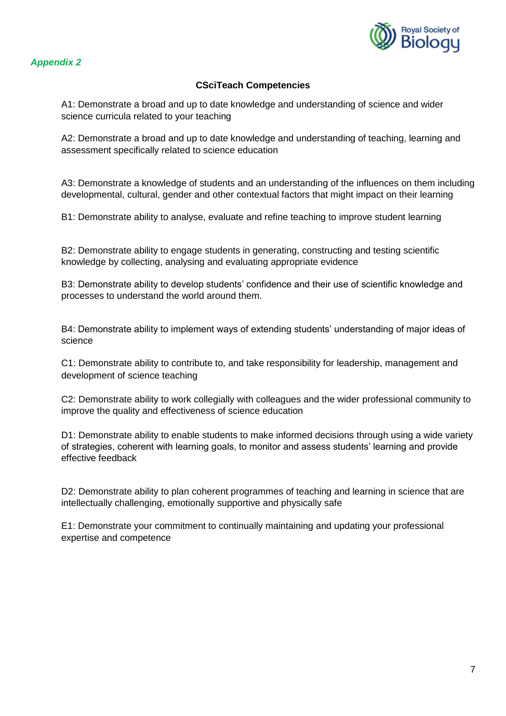

## **CSciTeach Competencies**

A1: Demonstrate a broad and up to date knowledge and understanding of science and wider science curricula related to your teaching

A2: Demonstrate a broad and up to date knowledge and understanding of teaching, learning and assessment specifically related to science education

A3: Demonstrate a knowledge of students and an understanding of the influences on them including developmental, cultural, gender and other contextual factors that might impact on their learning

B1: Demonstrate ability to analyse, evaluate and refine teaching to improve student learning

B2: Demonstrate ability to engage students in generating, constructing and testing scientific knowledge by collecting, analysing and evaluating appropriate evidence

B3: Demonstrate ability to develop students' confidence and their use of scientific knowledge and processes to understand the world around them.

B4: Demonstrate ability to implement ways of extending students' understanding of major ideas of science

C1: Demonstrate ability to contribute to, and take responsibility for leadership, management and development of science teaching

C2: Demonstrate ability to work collegially with colleagues and the wider professional community to improve the quality and effectiveness of science education

D1: Demonstrate ability to enable students to make informed decisions through using a wide variety of strategies, coherent with learning goals, to monitor and assess students' learning and provide effective feedback

D2: Demonstrate ability to plan coherent programmes of teaching and learning in science that are intellectually challenging, emotionally supportive and physically safe

E1: Demonstrate your commitment to continually maintaining and updating your professional expertise and competence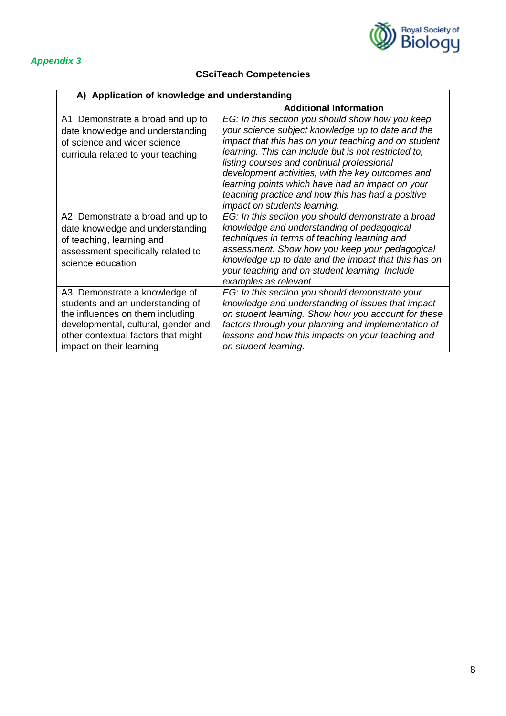

# **CSciTeach Competencies**

| A) Application of knowledge and understanding                                                                                                                                                                    |                                                                                                                                                                                                                                                                                                                                                                                                                                                                   |  |
|------------------------------------------------------------------------------------------------------------------------------------------------------------------------------------------------------------------|-------------------------------------------------------------------------------------------------------------------------------------------------------------------------------------------------------------------------------------------------------------------------------------------------------------------------------------------------------------------------------------------------------------------------------------------------------------------|--|
|                                                                                                                                                                                                                  | <b>Additional Information</b>                                                                                                                                                                                                                                                                                                                                                                                                                                     |  |
| A1: Demonstrate a broad and up to<br>date knowledge and understanding<br>of science and wider science<br>curricula related to your teaching                                                                      | EG: In this section you should show how you keep<br>your science subject knowledge up to date and the<br>impact that this has on your teaching and on student<br>learning. This can include but is not restricted to,<br>listing courses and continual professional<br>development activities, with the key outcomes and<br>learning points which have had an impact on your<br>teaching practice and how this has had a positive<br>impact on students learning. |  |
| A2: Demonstrate a broad and up to<br>date knowledge and understanding<br>of teaching, learning and<br>assessment specifically related to<br>science education                                                    | EG: In this section you should demonstrate a broad<br>knowledge and understanding of pedagogical<br>techniques in terms of teaching learning and<br>assessment. Show how you keep your pedagogical<br>knowledge up to date and the impact that this has on<br>your teaching and on student learning. Include<br>examples as relevant.                                                                                                                             |  |
| A3: Demonstrate a knowledge of<br>students and an understanding of<br>the influences on them including<br>developmental, cultural, gender and<br>other contextual factors that might<br>impact on their learning | EG: In this section you should demonstrate your<br>knowledge and understanding of issues that impact<br>on student learning. Show how you account for these<br>factors through your planning and implementation of<br>lessons and how this impacts on your teaching and<br>on student learning.                                                                                                                                                                   |  |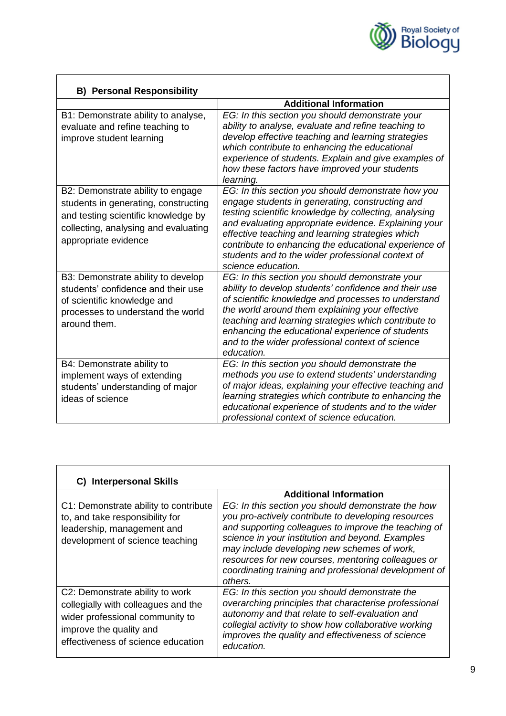

| <b>B) Personal Responsibility</b>                                                                                                                                                |                                                                                                                                                                                                                                                                                                                                                                                                                |
|----------------------------------------------------------------------------------------------------------------------------------------------------------------------------------|----------------------------------------------------------------------------------------------------------------------------------------------------------------------------------------------------------------------------------------------------------------------------------------------------------------------------------------------------------------------------------------------------------------|
|                                                                                                                                                                                  | <b>Additional Information</b>                                                                                                                                                                                                                                                                                                                                                                                  |
| B1: Demonstrate ability to analyse,<br>evaluate and refine teaching to<br>improve student learning                                                                               | EG: In this section you should demonstrate your<br>ability to analyse, evaluate and refine teaching to<br>develop effective teaching and learning strategies<br>which contribute to enhancing the educational<br>experience of students. Explain and give examples of<br>how these factors have improved your students<br>learning.                                                                            |
| B2: Demonstrate ability to engage<br>students in generating, constructing<br>and testing scientific knowledge by<br>collecting, analysing and evaluating<br>appropriate evidence | EG: In this section you should demonstrate how you<br>engage students in generating, constructing and<br>testing scientific knowledge by collecting, analysing<br>and evaluating appropriate evidence. Explaining your<br>effective teaching and learning strategies which<br>contribute to enhancing the educational experience of<br>students and to the wider professional context of<br>science education. |
| B3: Demonstrate ability to develop<br>students' confidence and their use<br>of scientific knowledge and<br>processes to understand the world<br>around them.                     | EG: In this section you should demonstrate your<br>ability to develop students' confidence and their use<br>of scientific knowledge and processes to understand<br>the world around them explaining your effective<br>teaching and learning strategies which contribute to<br>enhancing the educational experience of students<br>and to the wider professional context of science<br>education.               |
| B4: Demonstrate ability to<br>implement ways of extending<br>students' understanding of major<br>ideas of science                                                                | EG: In this section you should demonstrate the<br>methods you use to extend students' understanding<br>of major ideas, explaining your effective teaching and<br>learning strategies which contribute to enhancing the<br>educational experience of students and to the wider<br>professional context of science education.                                                                                    |

| C) Interpersonal Skills                                                                                                                                                    |                                                                                                                                                                                                                                                                                                                                                                                                |
|----------------------------------------------------------------------------------------------------------------------------------------------------------------------------|------------------------------------------------------------------------------------------------------------------------------------------------------------------------------------------------------------------------------------------------------------------------------------------------------------------------------------------------------------------------------------------------|
|                                                                                                                                                                            | <b>Additional Information</b>                                                                                                                                                                                                                                                                                                                                                                  |
| C1: Demonstrate ability to contribute<br>to, and take responsibility for<br>leadership, management and<br>development of science teaching                                  | EG: In this section you should demonstrate the how<br>you pro-actively contribute to developing resources<br>and supporting colleagues to improve the teaching of<br>science in your institution and beyond. Examples<br>may include developing new schemes of work,<br>resources for new courses, mentoring colleagues or<br>coordinating training and professional development of<br>others. |
| C2: Demonstrate ability to work<br>collegially with colleagues and the<br>wider professional community to<br>improve the quality and<br>effectiveness of science education | EG: In this section you should demonstrate the<br>overarching principles that characterise professional<br>autonomy and that relate to self-evaluation and<br>collegial activity to show how collaborative working<br>improves the quality and effectiveness of science<br>education.                                                                                                          |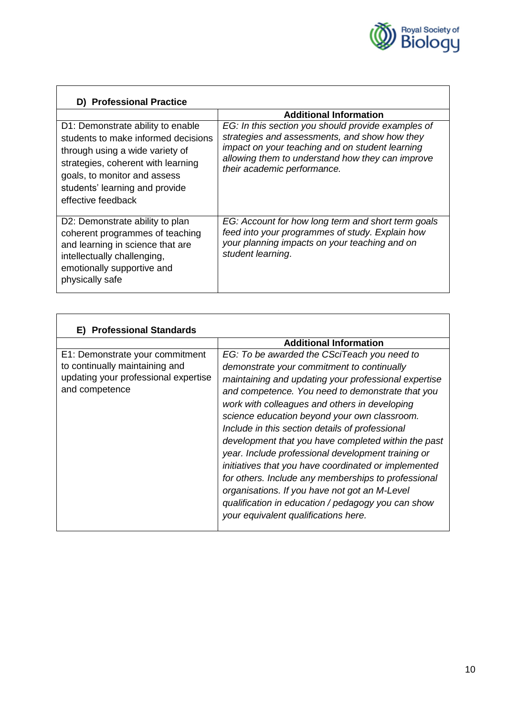

| D) Professional Practice                                                                                                                                                                                                                  |                                                                                                                                                                                                                                           |
|-------------------------------------------------------------------------------------------------------------------------------------------------------------------------------------------------------------------------------------------|-------------------------------------------------------------------------------------------------------------------------------------------------------------------------------------------------------------------------------------------|
|                                                                                                                                                                                                                                           | <b>Additional Information</b>                                                                                                                                                                                                             |
| D1: Demonstrate ability to enable<br>students to make informed decisions<br>through using a wide variety of<br>strategies, coherent with learning<br>goals, to monitor and assess<br>students' learning and provide<br>effective feedback | EG: In this section you should provide examples of<br>strategies and assessments, and show how they<br>impact on your teaching and on student learning<br>allowing them to understand how they can improve<br>their academic performance. |
| D2: Demonstrate ability to plan<br>coherent programmes of teaching<br>and learning in science that are<br>intellectually challenging,<br>emotionally supportive and<br>physically safe                                                    | EG: Account for how long term and short term goals<br>feed into your programmes of study. Explain how<br>your planning impacts on your teaching and on<br>student learning.                                                               |

| <b>Professional Standards</b><br>E)                                                                                         |                                                                                                                                                                                                                                                                                                                                                                                                                                                                                                                                                                                                                                                                                                                                      |  |
|-----------------------------------------------------------------------------------------------------------------------------|--------------------------------------------------------------------------------------------------------------------------------------------------------------------------------------------------------------------------------------------------------------------------------------------------------------------------------------------------------------------------------------------------------------------------------------------------------------------------------------------------------------------------------------------------------------------------------------------------------------------------------------------------------------------------------------------------------------------------------------|--|
|                                                                                                                             | <b>Additional Information</b>                                                                                                                                                                                                                                                                                                                                                                                                                                                                                                                                                                                                                                                                                                        |  |
| E1: Demonstrate your commitment<br>to continually maintaining and<br>updating your professional expertise<br>and competence | EG: To be awarded the CSciTeach you need to<br>demonstrate your commitment to continually<br>maintaining and updating your professional expertise<br>and competence. You need to demonstrate that you<br>work with colleagues and others in developing<br>science education beyond your own classroom.<br>Include in this section details of professional<br>development that you have completed within the past<br>year. Include professional development training or<br>initiatives that you have coordinated or implemented<br>for others. Include any memberships to professional<br>organisations. If you have not got an M-Level<br>qualification in education / pedagogy you can show<br>your equivalent qualifications here. |  |